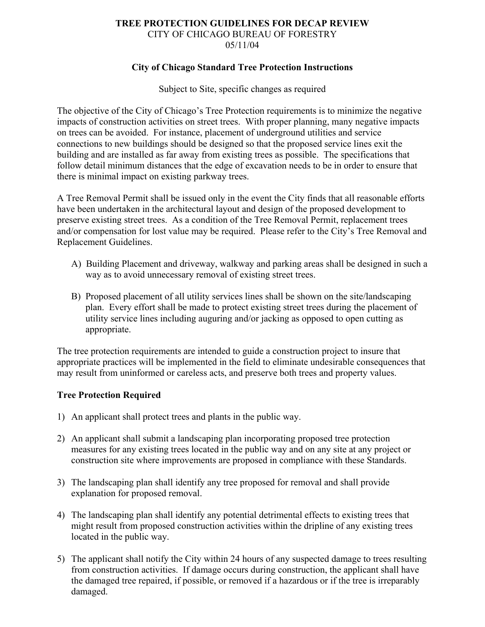#### **TREE PROTECTION GUIDELINES FOR DECAP REVIEW** CITY OF CHICAGO BUREAU OF FORESTRY 05/11/04

## **City of Chicago Standard Tree Protection Instructions**

Subject to Site, specific changes as required

The objective of the City of Chicago's Tree Protection requirements is to minimize the negative impacts of construction activities on street trees. With proper planning, many negative impacts on trees can be avoided. For instance, placement of underground utilities and service connections to new buildings should be designed so that the proposed service lines exit the building and are installed as far away from existing trees as possible. The specifications that follow detail minimum distances that the edge of excavation needs to be in order to ensure that there is minimal impact on existing parkway trees.

A Tree Removal Permit shall be issued only in the event the City finds that all reasonable efforts have been undertaken in the architectural layout and design of the proposed development to preserve existing street trees. As a condition of the Tree Removal Permit, replacement trees and/or compensation for lost value may be required. Please refer to the City's Tree Removal and Replacement Guidelines.

- A) Building Placement and driveway, walkway and parking areas shall be designed in such a way as to avoid unnecessary removal of existing street trees.
- B) Proposed placement of all utility services lines shall be shown on the site/landscaping plan. Every effort shall be made to protect existing street trees during the placement of utility service lines including auguring and/or jacking as opposed to open cutting as appropriate.

The tree protection requirements are intended to guide a construction project to insure that appropriate practices will be implemented in the field to eliminate undesirable consequences that may result from uninformed or careless acts, and preserve both trees and property values.

# **Tree Protection Required**

- 1) An applicant shall protect trees and plants in the public way.
- 2) An applicant shall submit a landscaping plan incorporating proposed tree protection measures for any existing trees located in the public way and on any site at any project or construction site where improvements are proposed in compliance with these Standards.
- 3) The landscaping plan shall identify any tree proposed for removal and shall provide explanation for proposed removal.
- 4) The landscaping plan shall identify any potential detrimental effects to existing trees that might result from proposed construction activities within the dripline of any existing trees located in the public way.
- 5) The applicant shall notify the City within 24 hours of any suspected damage to trees resulting from construction activities. If damage occurs during construction, the applicant shall have the damaged tree repaired, if possible, or removed if a hazardous or if the tree is irreparably damaged.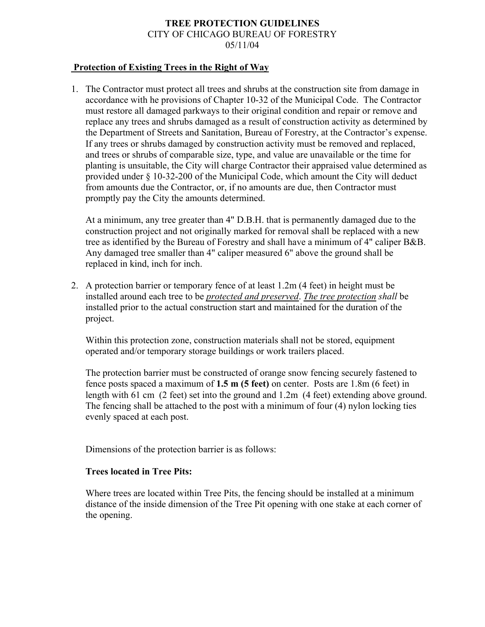# **TREE PROTECTION GUIDELINES** CITY OF CHICAGO BUREAU OF FORESTRY 05/11/04

## **Protection of Existing Trees in the Right of Way**

1. The Contractor must protect all trees and shrubs at the construction site from damage in accordance with he provisions of Chapter 10-32 of the Municipal Code. The Contractor must restore all damaged parkways to their original condition and repair or remove and replace any trees and shrubs damaged as a result of construction activity as determined by the Department of Streets and Sanitation, Bureau of Forestry, at the Contractor's expense. If any trees or shrubs damaged by construction activity must be removed and replaced, and trees or shrubs of comparable size, type, and value are unavailable or the time for planting is unsuitable, the City will charge Contractor their appraised value determined as provided under § 10-32-200 of the Municipal Code, which amount the City will deduct from amounts due the Contractor, or, if no amounts are due, then Contractor must promptly pay the City the amounts determined.

At a minimum, any tree greater than 4" D.B.H. that is permanently damaged due to the construction project and not originally marked for removal shall be replaced with a new tree as identified by the Bureau of Forestry and shall have a minimum of 4" caliper B&B. Any damaged tree smaller than 4" caliper measured 6" above the ground shall be replaced in kind, inch for inch.

 2. A protection barrier or temporary fence of at least 1.2m (4 feet) in height must be installed around each tree to be *protected and preserved*. *The tree protection shall* be installed prior to the actual construction start and maintained for the duration of the project.

Within this protection zone, construction materials shall not be stored, equipment operated and/or temporary storage buildings or work trailers placed.

The protection barrier must be constructed of orange snow fencing securely fastened to fence posts spaced a maximum of **1.5 m (5 feet)** on center. Posts are 1.8m (6 feet) in length with 61 cm (2 feet) set into the ground and 1.2m (4 feet) extending above ground. The fencing shall be attached to the post with a minimum of four (4) nylon locking ties evenly spaced at each post.

Dimensions of the protection barrier is as follows:

#### **Trees located in Tree Pits:**

Where trees are located within Tree Pits, the fencing should be installed at a minimum distance of the inside dimension of the Tree Pit opening with one stake at each corner of the opening.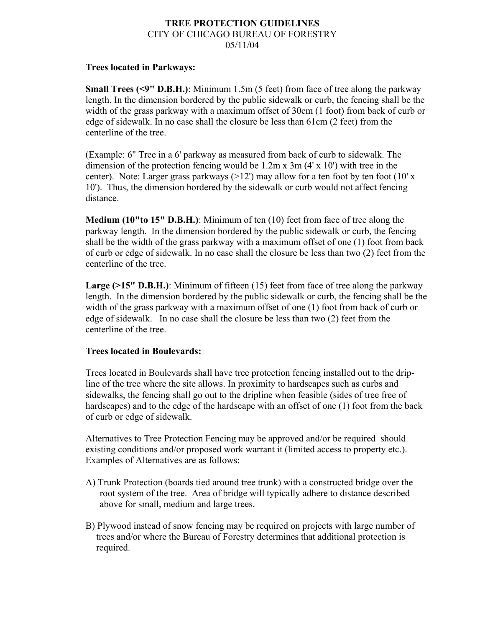#### **TREE PROTECTION GUIDELINES** CITY OF CHICAGO BUREAU OF FORESTRY 05/11/04

## **Trees located in Parkways:**

**Small Trees (<9" D.B.H.)**: Minimum 1.5m (5 feet) from face of tree along the parkway length. In the dimension bordered by the public sidewalk or curb, the fencing shall be the width of the grass parkway with a maximum offset of 30cm (1 foot) from back of curb or edge of sidewalk. In no case shall the closure be less than 61cm (2 feet) from the centerline of the tree.

(Example: 6" Tree in a 6' parkway as measured from back of curb to sidewalk. The dimension of the protection fencing would be 1.2m x 3m (4' x 10') with tree in the center). Note: Larger grass parkways  $(>12')$  may allow for a ten foot by ten foot  $(10' x)$ 10'). Thus, the dimension bordered by the sidewalk or curb would not affect fencing distance.

**Medium (10"to 15" D.B.H.)**: Minimum of ten (10) feet from face of tree along the parkway length. In the dimension bordered by the public sidewalk or curb, the fencing shall be the width of the grass parkway with a maximum offset of one (1) foot from back of curb or edge of sidewalk. In no case shall the closure be less than two (2) feet from the centerline of the tree.

**Large (>15" D.B.H.)**: Minimum of fifteen (15) feet from face of tree along the parkway length. In the dimension bordered by the public sidewalk or curb, the fencing shall be the width of the grass parkway with a maximum offset of one (1) foot from back of curb or edge of sidewalk. In no case shall the closure be less than two (2) feet from the centerline of the tree.

# **Trees located in Boulevards:**

Trees located in Boulevards shall have tree protection fencing installed out to the dripline of the tree where the site allows. In proximity to hardscapes such as curbs and sidewalks, the fencing shall go out to the dripline when feasible (sides of tree free of hardscapes) and to the edge of the hardscape with an offset of one (1) foot from the back of curb or edge of sidewalk.

Alternatives to Tree Protection Fencing may be approved and/or be required should existing conditions and/or proposed work warrant it (limited access to property etc.). Examples of Alternatives are as follows:

- A) Trunk Protection (boards tied around tree trunk) with a constructed bridge over the root system of the tree. Area of bridge will typically adhere to distance described above for small, medium and large trees.
- B) Plywood instead of snow fencing may be required on projects with large number of trees and/or where the Bureau of Forestry determines that additional protection is required.